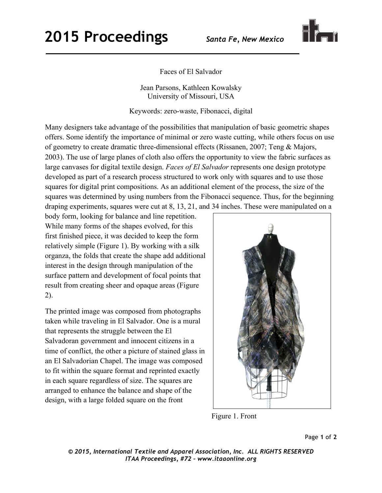## **2015 Proceedings** *Santa Fe, New Mexico*



Faces of El Salvador

Jean Parsons, Kathleen Kowalsky University of Missouri, USA

Keywords: zero-waste, Fibonacci, digital

Many designers take advantage of the possibilities that manipulation of basic geometric shapes offers. Some identify the importance of minimal or zero waste cutting, while others focus on use of geometry to create dramatic three-dimensional effects (Rissanen, 2007; Teng & Majors, 2003). The use of large planes of cloth also offers the opportunity to view the fabric surfaces as large canvases for digital textile design. *Faces of El Salvador* represents one design prototype developed as part of a research process structured to work only with squares and to use those squares for digital print compositions. As an additional element of the process, the size of the squares was determined by using numbers from the Fibonacci sequence. Thus, for the beginning draping experiments, squares were cut at 8, 13, 21, and 34 inches. These were manipulated on a

body form, looking for balance and line repetition. While many forms of the shapes evolved, for this first finished piece, it was decided to keep the form relatively simple (Figure 1). By working with a silk organza, the folds that create the shape add additional interest in the design through manipulation of the surface pattern and development of focal points that result from creating sheer and opaque areas (Figure 2).

The printed image was composed from photographs taken while traveling in El Salvador. One is a mural that represents the struggle between the El Salvadoran government and innocent citizens in a time of conflict, the other a picture of stained glass in an El Salvadorian Chapel. The image was composed to fit within the square format and reprinted exactly in each square regardless of size. The squares are arranged to enhance the balance and shape of the design, with a large folded square on the front



Figure 1. Front

*© 2015, International Textile and Apparel Association, Inc. ALL RIGHTS RESERVED ITAA Proceedings, #72 – www.itaaonline.org*